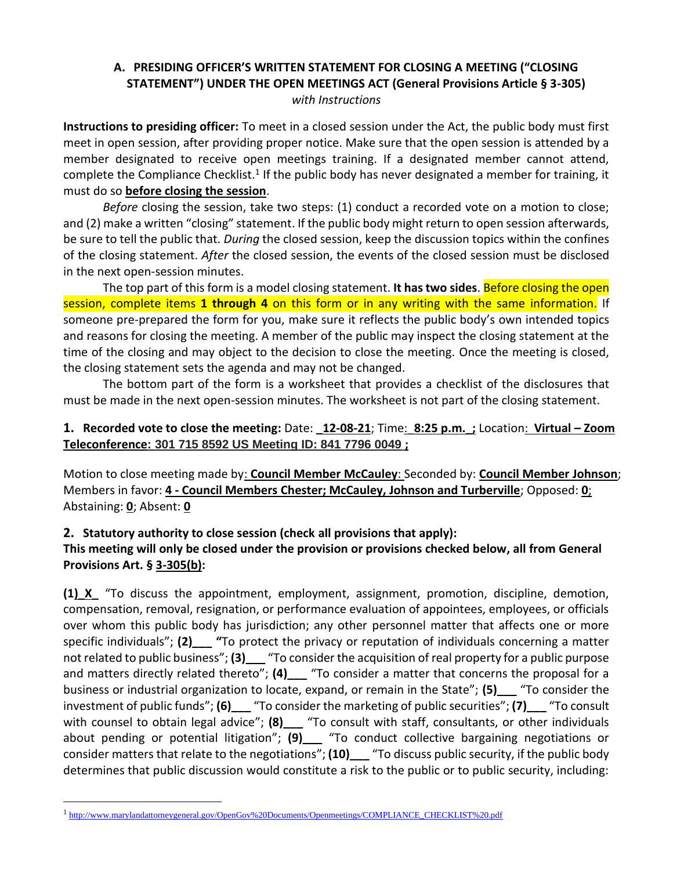### **A. PRESIDING OFFICER'S WRITTEN STATEMENT FOR CLOSING A MEETING ("CLOSING STATEMENT") UNDER THE OPEN MEETINGS ACT (General Provisions Article § 3-305)** *with Instructions*

**Instructions to presiding officer:** To meet in a closed session under the Act, the public body must first meet in open session, after providing proper notice. Make sure that the open session is attended by a member designated to receive open meetings training. If a designated member cannot attend, complete the Compliance Checklist.<sup>1</sup> If the public body has never designated a member for training, it must do so **before closing the session**.

*Before* closing the session, take two steps: (1) conduct a recorded vote on a motion to close; and (2) make a written "closing" statement. If the public body might return to open session afterwards, be sure to tell the public that. *During* the closed session, keep the discussion topics within the confines of the closing statement. *After* the closed session, the events of the closed session must be disclosed in the next open-session minutes.

The top part of this form is a model closing statement. **It has two sides**. Before closing the open session, complete items **1 through 4** on this form or in any writing with the same information. If someone pre-prepared the form for you, make sure it reflects the public body's own intended topics and reasons for closing the meeting. A member of the public may inspect the closing statement at the time of the closing and may object to the decision to close the meeting. Once the meeting is closed, the closing statement sets the agenda and may not be changed.

The bottom part of the form is a worksheet that provides a checklist of the disclosures that must be made in the next open-session minutes. The worksheet is not part of the closing statement.

#### **1. Recorded vote to close the meeting:** Date: **\_12-08-21**; Time:\_**8:25 p.m.\_;** Location: **Virtual – Zoom Teleconference: 301 715 8592 US Meeting ID: 841 7796 0049 ;**

Motion to close meeting made by: **Council Member McCauley**: Seconded by: **Council Member Johnson**; Members in favor: **4 - Council Members Chester; McCauley, Johnson and Turberville**; Opposed: **0**; Abstaining: **0**; Absent: **0**

## **2. Statutory authority to close session (check all provisions that apply):**

### **This meeting will only be closed under the provision or provisions checked below, all from General Provisions Art. § 3-305(b):**

**(1)\_X\_** "To discuss the appointment, employment, assignment, promotion, discipline, demotion, compensation, removal, resignation, or performance evaluation of appointees, employees, or officials over whom this public body has jurisdiction; any other personnel matter that affects one or more specific individuals"; **(2)\_\_\_ "**To protect the privacy or reputation of individuals concerning a matter not related to public business"; (3) <sup>"</sup>To consider the acquisition of real property for a public purpose and matters directly related thereto"; **(4)\_\_\_** "To consider a matter that concerns the proposal for a business or industrial organization to locate, expand, or remain in the State"; **(5)\_\_\_** "To consider the investment of public funds"; **(6)\_\_\_** "To consider the marketing of public securities"; **(7)\_\_\_** "To consult with counsel to obtain legal advice"; **(8)** <sup>1</sup> To consult with staff, consultants, or other individuals about pending or potential litigation"; **(9)\_\_\_** "To conduct collective bargaining negotiations or consider matters that relate to the negotiations"; **(10)\_\_\_** "To discuss public security, if the public body determines that public discussion would constitute a risk to the public or to public security, including:

<sup>&</sup>lt;sup>1</sup>[http://www.marylandattorneygeneral.gov/OpenGov%20Documents/Openmeetings/COMPLIANCE\\_CHECKLIST%20.pdf](http://www.marylandattorneygeneral.gov/OpenGov%20Documents/Openmeetings/COMPLIANCE_CHECKLIST%20.pdf)